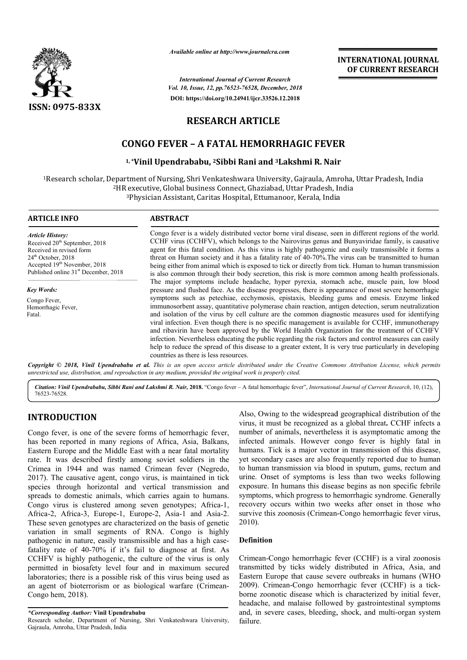

*Available online at http://www.journalcra.com*

*Vol. 10, Issue, 12, pp. pp.76523-76528, December, 2018 International Journal of Current Research* **DOI: https://doi.org/10.24941/ijcr.33526.12.2018**

**INTERNATIONAL JOURNAL OF CURRENT RESEARCH**

# **RESEARCH ARTICLE**

# **CONGO FEVER – A FATAL HEMORRHAGIC FEVER**

# **1, \*Vinil Upendrababu, Vinil 2Sibbi Rani and 3Lakshmi R. Nair**

 $^{\rm 1}$ Research scholar, Department of Nursing, Shri Venkateshwara University, Gajraula, Amroha, Uttar Pradesh, India <sup>2</sup>HR executive, Global business Connect, Ghaziabad, Uttar Pradesh, India executive, Global business Connect, Ghaziabad, Uttar Pradesh, India<br><sup>3</sup>Physician Assistant, Caritas Hospital, Ettumanoor, Kerala, India

| <b>ARTICLE INFO</b>                                                                                                                                                                                                      | <b>ABSTRACT</b>                                                                                                                                                                                                                                                                                                                                                                                                                                                                                                                                                                                                                                                                                                                                                                |
|--------------------------------------------------------------------------------------------------------------------------------------------------------------------------------------------------------------------------|--------------------------------------------------------------------------------------------------------------------------------------------------------------------------------------------------------------------------------------------------------------------------------------------------------------------------------------------------------------------------------------------------------------------------------------------------------------------------------------------------------------------------------------------------------------------------------------------------------------------------------------------------------------------------------------------------------------------------------------------------------------------------------|
| <b>Article History:</b><br>Received 20 <sup>th</sup> September, 2018<br>Received in revised form<br>$24th$ October, 2018<br>Accepted 19 <sup>th</sup> November, 2018<br>Published online 31 <sup>st</sup> December, 2018 | Congo fever is a widely distributed vector borne viral disease, seen in different regions of the world.<br>CCHF virus (CCHFV), which belongs to the Nairovirus genus and Bunyaviridae family, is causative<br>agent for this fatal condition. As this virus is highly pathogenic and easily transmissible it forms a<br>threat on Human society and it has a fatality rate of 40-70%. The virus can be transmitted to human<br>being either from animal which is exposed to tick or directly from tick. Human to human transmission<br>is also common through their body secretion, this risk is more common among health professionals.                                                                                                                                       |
| <b>Key Words:</b>                                                                                                                                                                                                        | The major symptoms include headache, hyper pyrexia, stomach ache, muscle pain, low blood<br>pressure and flushed face. As the disease progresses, there is appearance of most severe hemorrhagic                                                                                                                                                                                                                                                                                                                                                                                                                                                                                                                                                                               |
| Congo Fever,<br>Hemorrhagic Fever,<br>Fatal.                                                                                                                                                                             | symptoms such as petechiae, ecchymosis, epistaxis, bleeding gums and emesis. Enzyme linked<br>immunosorbent assay, quantitative polymerase chain reaction, antigen detection, serum neutralization<br>and isolation of the virus by cell culture are the common diagnostic measures used for identifying<br>viral infection. Even though there is no specific management is available for CCHF, immunotherapy<br>and ribavirin have been approved by the World Health Organization for the treatment of CCHFV<br>infection. Nevertheless educating the public regarding the risk factors and control measures can easily<br>help to reduce the spread of this disease to a greater extent, It is very true particularly in developing<br>countries as there is less resources. |

Copyright © 2018, Vinil Upendrababu et al. This is an open access article distributed under the Creative Commons Attribution License, which permits *unrestricted use, distribution, and reproduction in any medium, provided the original work is properly cited.*

*Citation: Vinil Upendrababu, Sibbi Rani and Lakshmi R R. Nair,* **2018.** "Congo fever – A fatal hemorrhagic fever", *International Journal of Current Research Current Research*, 10, (12), 76523-76528.

# **INTRODUCTION**

Congo fever, is one of the severe forms of hemorrhagic fever, has been reported in many regions of Africa, Asia, Balkans, Eastern Europe and the Middle East with a near fatal mortality rate. It was described firstly among soviet soldiers in the Crimea in 1944 and was named Crimean fever (Negredo, 2017). The causative agent, congo virus, is maintained in tick species through horizontal and vertical transmission and spreads to domestic animals, which carries again to humans. Congo virus is clustered among seven genotypes; Africa-1, Africa-2, Africa-3, Europe-1, Europe-2, Asia 2, Asia-1 and Asia-2. These seven genotypes are characterized on the basis of genetic variation in small segments of RNA. Congo is highly pathogenic in nature, easily transmissible and has a high casefatality rate of 40-70% if it's fail to diagnose at first. As CCHFV is highly pathogenic, the culture of the virus is only permitted in biosafety level four and in maximum secured laboratories; there is a possible risk of this virus being used as an agent of bioterrorism or as biological warfare (Crimean-Congo hem, 2018). ity rate of 40-70%<br>IFV is highly pathog<br>nitted in biosafety l<br>ratories; there is a po

Also, Owing to the widespread geographical distribution of the Also, Owing to the widespread geographical distribution of the virus, it must be recognized as a global threat. CCHF infects a number of animals, nevertheless it is asymptomatic among the infected animals. However congo fever is highly fatal in humans. Tick is a major vector in transmission of this disease, yet secondary cases are also frequently reported due to human to human transmission via blood in sputum, gums, rectum and urine. Onset of symptoms is less than two weeks following exposure. In humans this disease begins as non specific febrile symptoms, which progress to hemorrhagic syndrome. Generally recovery occurs within two weeks after onset in those who survive this zoonosis (Crimean-Congo hemorrhagic fever virus, 2010). number of animals, nevertheless it is asymptomatic among the infected animals. However congo fever is highly fatal in humans. Tick is a major vector in transmission of this disease, yet secondary cases are also frequently

#### **Definition**

Crimean-Congo hemorrhagic fever (CCHF) is a viral zoonosis transmitted by ticks widely distributed in Africa, Asia, and Eastern Europe that cause severe outbreaks in humans 2009). Crimean-Congo hemorrhagic fever (CCHF) is a tickborne zoonotic disease which is characterized by initial fever, headache, and malaise followed by gastrointestinal symptoms borne zoonotic disease which is characterized by initial fever, headache, and malaise followed by gastrointestinal symptoms and, in severe cases, bleeding, shock, and multi-organ system failure. Congo hemorrhagic fever (CCHF) is a viral zoonosis<br>ed by ticks widely distributed in Africa, Asia, and<br>Europe that cause severe outbreaks in humans (WHO

*<sup>\*</sup>Corresponding Author:* **Vinil Upendrababu**

Research scholar, Department of Nursing, Shri Venkateshwara University, Gajraula, Amroha, Uttar Pradesh, India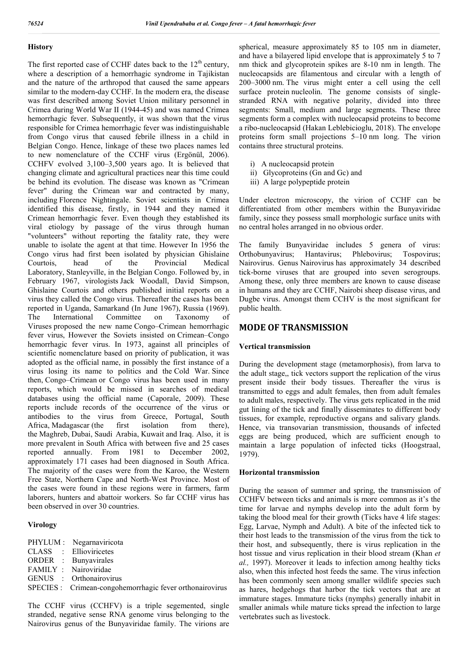#### **History**

The first reported case of CCHF dates back to the  $12<sup>th</sup>$  century, where a description of a hemorrhagic syndrome in Tajikistan and the nature of the arthropod that caused the same appears similar to the modern-day CCHF. In the modern era, the disease was first described among Soviet Union military personnel in Crimea during World War II (1944-45) and was named Crimea hemorrhagic fever. Subsequently, it was shown that the virus responsible for Crimea hemorrhagic fever was indistinguishable from Congo virus that caused febrile illness in a child in Belgian Congo. Hence, linkage of these two places names led to new nomenclature of the CCHF virus (Ergönül, 2006). CCHFV evolved 3,100–3,500 years ago. It is believed that changing climate and agricultural practices near this time could be behind its evolution. The disease was known as "Crimean fever" during the Crimean war and contracted by many, including Florence Nightingale. Soviet scientists in Crimea identified this disease, firstly, in 1944 and they named it Crimean hemorrhagic fever. Even though they established its viral etiology by passage of the virus through human "volunteers" without reporting the fatality rate, they were unable to isolate the agent at that time. However In 1956 the Congo virus had first been isolated by physician Ghislaine Courtois, head of the Provincial Medical Laboratory, Stanleyville, in the Belgian Congo. Followed by, in February 1967, virologists Jack Woodall, David Simpson, Ghislaine Courtois and others published initial reports on a virus they called the Congo virus. Thereafter the cases has been reported in Uganda, Samarkand (In June 1967), Russia (1969). The International Committee on Taxonomy of Viruses proposed the new name Congo–Crimean hemorrhagic fever virus, However the Soviets insisted on Crimean–Congo hemorrhagic fever virus. In 1973, against all principles of scientific nomenclature based on priority of publication, it was adopted as the official name, in possibly the first instance of a virus losing its name to politics and the Cold War. Since then, Congo–Crimean or Congo virus has been used in many reports, which would be missed in searches of medical databases using the official name (Caporale, 2009). These reports include records of the occurrence of the virus or antibodies to the virus from Greece, Portugal, South Africa, Madagascar (the first isolation from there), the Maghreb, Dubai, Saudi Arabia, Kuwait and Iraq. Also, it is more prevalent in South Africa with between five and 25 cases reported annually. From 1981 to December 2002, approximately 171 cases had been diagnosed in South Africa. The majority of the cases were from the Karoo, the Western Free State, Northern Cape and North-West Province. Most of the cases were found in these regions were in farmers, farm laborers, hunters and abattoir workers. So far CCHF virus has been observed in over 30 countries.

#### **Virology**

| PHYLUM: Negarnaviricota                                  |
|----------------------------------------------------------|
| CLASS : Ellioviricetes                                   |
| ORDER : Bunyavirales                                     |
| FAMILY : Nairoviridae                                    |
| GENUS : Orthonairovirus                                  |
| SPECIES : Crimean-congohemorrhagic fever orthonairovirus |

The CCHF virus (CCHFV) is a triple segemented, single stranded, negative sense RNA genome virus belonging to the Nairovirus genus of the Bunyaviridae family. The virions are spherical, measure approximately 85 to 105 nm in diameter, and have a bilayered lipid envelope that is approximately 5 to 7 nm thick and glycoprotein spikes are 8-10 nm in length. The nucleocapsids are filamentous and circular with a length of 200–3000 nm. The virus might enter a cell using the cell surface protein nucleolin. The genome consists of singlestranded RNA with negative polarity, divided into three segments: Small, medium and large segments. These three segments form a complex with nucleocapsid proteins to become a ribo-nucleocapsid (Hakan Leblebicioglu, 2018). The envelope proteins form small projections 5–10 nm long. The virion contains three structural proteins.

- i) A nucleocapsid protein
- ii) Glycoproteins (Gn and Gc) and
- iii) A large polypeptide protein

Under electron microscopy, the virion of CCHF can be differentiated from other members within the Bunyaviridae family, since they possess small morphologic surface units with no central holes arranged in no obvious order.

The family Bunyaviridae includes 5 genera of virus: Orthobunyavirus; Hantavirus; Phlebovirus; Tospovirus; Nairovirus. Genus Nairovirus has approximately 34 described tick-borne viruses that are grouped into seven serogroups. Among these, only three members are known to cause disease in humans and they are CCHF, Nairobi sheep disease virus, and Dugbe virus. Amongst them CCHV is the most significant for public health.

# **MODE OF TRANSMISSION**

#### **Vertical transmission**

During the development stage (metamorphosis), from larva to the adult stage,, tick vectors support the replication of the virus present inside their body tissues. Thereafter the virus is transmitted to eggs and adult females, then from adult females to adult males, respectively. The virus gets replicated in the mid gut lining of the tick and finally disseminates to different body tissues, for example, reproductive organs and salivary glands. Hence, via transovarian transmission, thousands of infected eggs are being produced, which are sufficient enough to maintain a large population of infected ticks (Hoogstraal, 1979).

#### **Horizontal transmission**

During the season of summer and spring, the transmission of CCHFV between ticks and animals is more common as it's the time for larvae and nymphs develop into the adult form by taking the blood meal for their growth (Ticks have 4 life stages: Egg, Larvae, Nymph and Adult). A bite of the infected tick to their host leads to the transmission of the virus from the tick to their host, and subsequently, there is virus replication in the host tissue and virus replication in their blood stream (Khan *et al.,* 1997). Moreover it leads to infection among healthy ticks also, when this infected host feeds the same. The virus infection has been commonly seen among smaller wildlife species such as hares, hedgehogs that harbor the tick vectors that are at immature stages. Immature ticks (nymphs) generally inhabit in smaller animals while mature ticks spread the infection to large vertebrates such as livestock.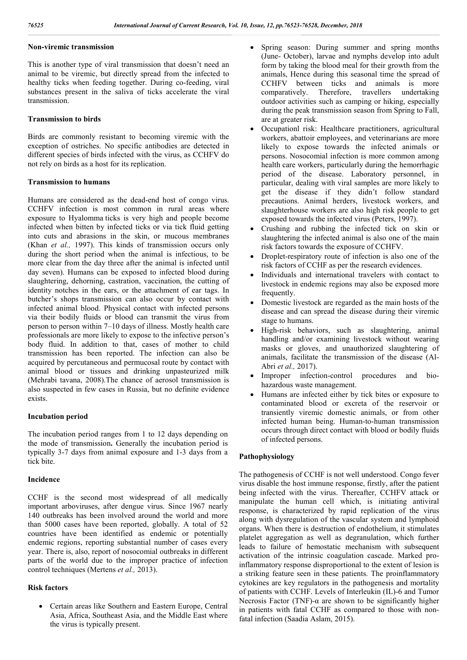# **Non-viremic transmission**

This is another type of viral transmission that doesn't need an animal to be viremic, but directly spread from the infected to healthy ticks when feeding together. During co-feeding, viral substances present in the saliva of ticks accelerate the viral transmission.

#### **Transmission to birds**

Birds are commonly resistant to becoming viremic with the exception of ostriches. No specific antibodies are detected in different species of birds infected with the virus, as CCHFV do not rely on birds as a host for its replication.

#### **Transmission to humans**

Humans are considered as the dead-end host of congo virus. CCHFV infection is most common in rural areas where exposure to Hyalomma ticks is very high and people become infected when bitten by infected ticks or via tick fluid getting into cuts and abrasions in the skin, or mucous membranes (Khan *et al.,* 1997). This kinds of transmission occurs only during the short period when the animal is infectious, to be more clear from the day three after the animal is infected until day seven). Humans can be exposed to infected blood during slaughtering, dehorning, castration, vaccination, the cutting of identity notches in the ears, or the attachment of ear tags. In butcher's shops transmission can also occur by contact with infected animal blood. Physical contact with infected persons via their bodily fluids or blood can transmit the virus from person to person within 7–10 days of illness. Mostly health care professionals are more likely to expose to the infective person's body fluid. In addition to that, cases of mother to child transmission has been reported. The infection can also be acquired by percutaneous and permucosal route by contact with animal blood or tissues and drinking unpasteurized milk (Mehrabi tavana, 2008).The chance of aerosol transmission is also suspected in few cases in Russia, but no definite evidence exists.

#### **Incubation period**

The incubation period ranges from 1 to 12 days depending on the mode of transmission**.** Generally the incubation period is typically 3-7 days from animal exposure and 1-3 days from a tick bite.

### **Incidence**

CCHF is the second most widespread of all medically important arboviruses, after dengue virus. Since 1967 nearly 140 outbreaks has been involved around the world and more than 5000 cases have been reported, globally. A total of 52 countries have been identified as endemic or potentially endemic regions, reporting substantial number of cases every year. There is, also, report of nosocomial outbreaks in different parts of the world due to the improper practice of infection control techniques (Mertens *et al.,* 2013).

# **Risk factors**

 Certain areas like Southern and Eastern Europe, Central Asia, Africa, Southeast Asia, and the Middle East where the virus is typically present.

- Spring season: During summer and spring months (June- October), larvae and nymphs develop into adult form by taking the blood meal for their growth from the animals, Hence during this seasonal time the spread of CCHFV between ticks and animals is more comparatively. Therefore, travellers undertaking outdoor activities such as camping or hiking, especially during the peak transmission season from Spring to Fall, are at greater risk.
- Occupationl risk: Healthcare practitioners, agricultural workers, abattoir employees, and veterinarians are more likely to expose towards the infected animals or persons. Nosocomial infection is more common among health care workers, particularly during the hemorrhagic period of the disease. Laboratory personnel, in particular, dealing with viral samples are more likely to get the disease if they didn't follow standard precautions. Animal herders, livestock workers, and slaughterhouse workers are also high risk people to get exposed towards the infected virus (Peters, 1997).
- Crushing and rubbing the infected tick on skin or slaughtering the infected animal is also one of the main risk factors towards the exposure of CCHFV.
- Droplet-respiratory route of infection is also one of the risk factors of CCHF as per the research evidences.
- Individuals and international travelers with contact to livestock in endemic regions may also be exposed more frequently.
- Domestic livestock are regarded as the main hosts of the disease and can spread the disease during their viremic stage to humans.
- High-risk behaviors, such as slaughtering, animal handling and/or examining livestock without wearing masks or gloves, and unauthorized slaughtering of animals, facilitate the transmission of the disease (Al-Abri *et al.,* 2017).
- Improper infection-control procedures and biohazardous waste management.
- Humans are infected either by tick bites or exposure to contaminated blood or excreta of the reservoir or transiently viremic domestic animals, or from other infected human being. Human-to-human transmission occurs through direct contact with blood or bodily fluids of infected persons.

#### **Pathophysiology**

The pathogenesis of CCHF is not well understood. Congo fever virus disable the host immune response, firstly, after the patient being infected with the virus. Thereafter, CCHFV attack or manipulate the human cell which, is initiating antiviral response, is characterized by rapid replication of the virus along with dysregulation of the vascular system and lymphoid organs. When there is destruction of endothelium, it stimulates platelet aggregation as well as degranulation, which further leads to failure of hemostatic mechanism with subsequent activation of the intrinsic coagulation cascade. Marked proinflammatory response disproportional to the extent of lesion is a striking feature seen in these patients. The proinflammatory cytokines are key regulators in the pathogenesis and mortality of patients with CCHF. Levels of Interleukin (IL)-6 and Tumor Necrosis Factor (TNF)- $\alpha$  are shown to be significantly higher in patients with fatal CCHF as compared to those with nonfatal infection (Saadia Aslam, 2015).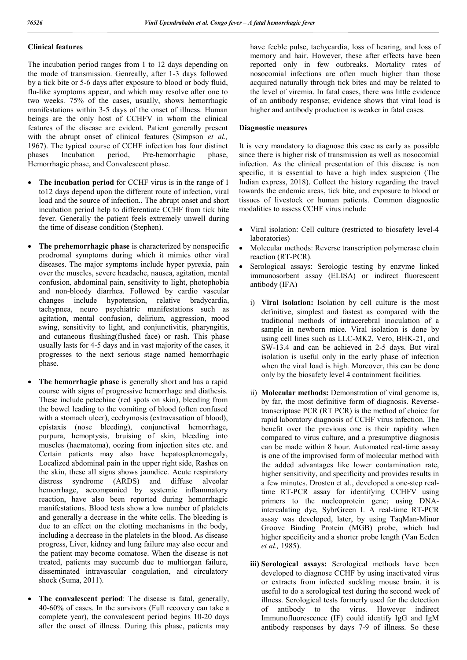# **Clinical features**

The incubation period ranges from 1 to 12 days depending on the mode of transmission. Genreally, after 1-3 days followed by a tick bite or 5-6 days after exposure to blood or body fluid, flu-like symptoms appear, and which may resolve after one to two weeks. 75% of the cases, usually, shows hemorrhagic manifestations within 3-5 days of the onset of illness. Human beings are the only host of CCHFV in whom the clinical features of the disease are evident. Patient generally present with the abrupt onset of clinical features (Simpson *et al.,*  1967). The typical course of CCHF infection has four distinct phases Incubation period, Pre-hemorrhagic phase, Hemorrhagic phase, and Convalescent phase.

- **The incubation period** for CCHF virus is in the range of 1 to12 days depend upon the different route of infection, viral load and the source of infection.. The abrupt onset and short incubation period help to differentiate CCHF from tick bite fever. Generally the patient feels extremely unwell during the time of disease condition (Stephen).
- **The prehemorrhagic phase** is characterized by nonspecific prodromal symptoms during which it mimics other viral diseases. The major symptoms include hyper pyrexia, pain over the muscles, severe headache, nausea, agitation, mental confusion, abdominal pain, sensitivity to light, photophobia and non-bloody diarrhea. Followed by cardio vascular changes include hypotension, relative bradycardia, tachypnea, neuro psychiatric manifestations such as agitation, mental confusion, delirium, aggression, mood swing, sensitivity to light, and conjunctivitis, pharyngitis, and cutaneous flushing(flushed face) or rash. This phase usually lasts for 4-5 days and in vast majority of the cases, it progresses to the next serious stage named hemorrhagic phase.
- **The hemorrhagic phase** is generally short and has a rapid course with signs of progressive hemorrhage and diathesis. These include petechiae (red spots on skin), bleeding from the bowel leading to the vomiting of blood (often confused with a stomach ulcer), ecchymosis (extravasation of blood), epistaxis (nose bleeding), conjunctival hemorrhage, purpura, hemoptysis, bruising of skin, bleeding into muscles (haematoma), oozing from injection sites etc. and Certain patients may also have hepatosplenomegaly, Localized abdominal pain in the upper right side, Rashes on the skin, these all signs shows jaundice. Acute respiratory distress syndrome (ARDS) and diffuse alveolar hemorrhage, accompanied by systemic inflammatory reaction, have also been reported during hemorrhagic manifestations. Blood tests show a low number of platelets and generally a decrease in the white cells. The bleeding is due to an effect on the clotting mechanisms in the body, including a decrease in the platelets in the blood. As disease progress, Liver, kidney and lung failure may also occur and the patient may become comatose. When the disease is not treated, patients may succumb due to multiorgan failure, disseminated intravascular coagulation, and circulatory shock (Suma, 2011).
- **The convalescent period**: The disease is fatal, generally, 40-60% of cases. In the survivors (Full recovery can take a complete year), the convalescent period begins 10-20 days after the onset of illness. During this phase, patients may

have feeble pulse, tachycardia, loss of hearing, and loss of memory and hair. However, these after effects have been reported only in few outbreaks. Mortality rates of nosocomial infections are often much higher than those acquired naturally through tick bites and may be related to the level of viremia. In fatal cases, there was little evidence of an antibody response; evidence shows that viral load is higher and antibody production is weaker in fatal cases.

# **Diagnostic measures**

It is very mandatory to diagnose this case as early as possible since there is higher risk of transmission as well as nosocomial infection. As the clinical presentation of this disease is non specific, it is essential to have a high index suspicion (The Indian express, 2018). Collect the history regarding the travel towards the endemic areas, tick bite, and exposure to blood or tissues of livestock or human patients. Common diagnostic modalities to assess CCHF virus include

- Viral isolation: Cell culture (restricted to biosafety level-4 laboratories)
- Molecular methods: Reverse transcription polymerase chain reaction (RT-PCR).
- Serological assays: Serologic testing by enzyme linked immunosorbent assay (ELISA) or indirect fluorescent antibody (IFA)
	- i) **Viral isolation:** Isolation by cell culture is the most definitive, simplest and fastest as compared with the traditional methods of intracerebral inoculation of a sample in newborn mice. Viral isolation is done by using cell lines such as LLC-MK2, Vero, BHK-21, and SW-13.4 and can be achieved in 2-5 days. But viral isolation is useful only in the early phase of infection when the viral load is high. Moreover, this can be done only by the biosafety level 4 containment facilities.
	- ii) **Molecular methods:** Demonstration of viral genome is, by far, the most definitive form of diagnosis. Reversetranscriptase PCR (RT PCR) is the method of choice for rapid laboratory diagnosis of CCHF virus infection. The benefit over the previous one is their rapidity when compared to virus culture, and a presumptive diagnosis can be made within 8 hour. Automated real-time assay is one of the improvised form of molecular method with the added advantages like lower contamination rate, higher sensitivity, and specificity and provides results in a few minutes. Drosten et al., developed a one-step realtime RT-PCR assay for identifying CCHFV using primers to the nucleoprotein gene; using DNAintercalating dye, SybrGreen I. A real-time RT-PCR assay was developed, later, by using TaqMan-Minor Groove Binding Protein (MGB) probe, which had higher specificity and a shorter probe length (Van Eeden *et al.,* 1985).
	- **iii) Serological assays:** Serological methods have been developed to diagnose CCHF by using inactivated virus or extracts from infected suckling mouse brain. it is useful to do a serological test during the second week of illness. Serological tests formerly used for the detection of antibody to the virus. However indirect Immunofluorescence (IF) could identify IgG and IgM antibody responses by days 7-9 of illness. So these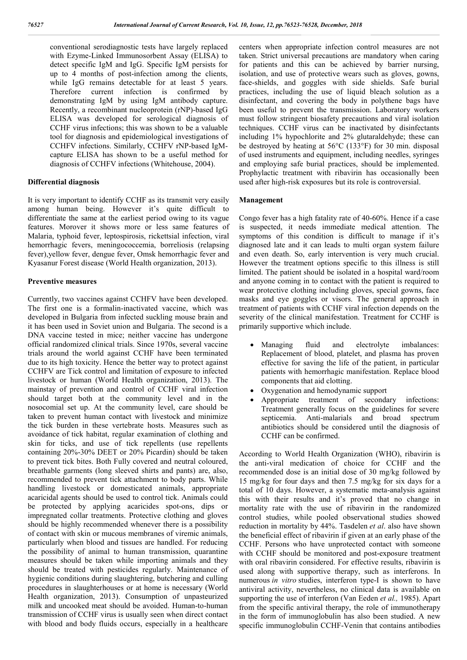conventional serodiagnostic tests have largely replaced with Ezyme-Linked Immunosorbent Assay (ELISA) to detect specific IgM and IgG. Specific IgM persists for up to 4 months of post-infection among the clients, while IgG remains detectable for at least 5 years. Therefore current infection is confirmed by demonstrating IgM by using IgM antibody capture. Recently, a recombinant nucleoprotein (rNP)-based IgG ELISA was developed for serological diagnosis of CCHF virus infections; this was shown to be a valuable tool for diagnosis and epidemiological investigations of CCHFV infections. Similarly, CCHFV rNP-based IgMcapture ELISA has shown to be a useful method for diagnosis of CCHFV infections (Whitehouse, 2004).

#### **Differential diagnosis**

It is very important to identify CCHF as its transmit very easily among human being. However it's quite difficult to differentiate the same at the earliest period owing to its vague features. Morover it shows more or less same features of Malaria, typhoid fever, leptospirosis, rickettsial infection, viral hemorrhagic fevers, meningococcemia, borreliosis (relapsing fever),yellow fever, dengue fever, Omsk hemorrhagic fever and Kyasanur Forest disease (World Health organization, 2013).

#### **Preventive measures**

Currently, two vaccines against CCHFV have been developed. The first one is a formalin-inactivated vaccine, which was developed in Bulgaria from infected suckling mouse brain and it has been used in Soviet union and Bulgaria. The second is a DNA vaccine tested in mice; neither vaccine has undergone official randomized clinical trials. Since 1970s, several vaccine trials around the world against CCHF have been terminated due to its high toxicity. Hence the better way to protect against CCHFV are Tick control and limitation of exposure to infected livestock or human (World Health organization, 2013). The mainstay of prevention and control of CCHF viral infection should target both at the community level and in the nosocomial set up. At the community level, care should be taken to prevent human contact with livestock and minimize the tick burden in these vertebrate hosts. Measures such as avoidance of tick habitat, regular examination of clothing and skin for ticks, and use of tick repellents (use repellents containing 20%-30% DEET or 20% Picardin) should be taken to prevent tick bites. Both Fully covered and neutral coloured, breathable garments (long sleeved shirts and pants) are, also, recommended to prevent tick attachment to body parts. While handling livestock or domesticated animals, appropriate acaricidal agents should be used to control tick. Animals could be protected by applying acaricides spot-ons, dips or impregnated collar treatments. Protective clothing and gloves should be highly recommended whenever there is a possibility of contact with skin or mucous membranes of viremic animals, particularly when blood and tissues are handled. For reducing the possibility of animal to human transmission, quarantine measures should be taken while importing animals and they should be treated with pesticides regularly. Maintenance of hygienic conditions during slaughtering, butchering and culling procedures in slaughterhouses or at home is necessary (World Health organization, 2013). Consumption of unpasteurized milk and uncooked meat should be avoided. Human-to-human transmission of CCHF virus is usually seen when direct contact with blood and body fluids occurs, especially in a healthcare

centers when appropriate infection control measures are not taken. Strict universal precautions are mandatory when caring for patients and this can be achieved by barrier nursing, isolation, and use of protective wears such as gloves, gowns, face-shields, and goggles with side shields. Safe burial practices, including the use of liquid bleach solution as a disinfectant, and covering the body in polythene bags have been useful to prevent the transmission. Laboratory workers must follow stringent biosafety precautions and viral isolation techniques. CCHF virus can be inactivated by disinfectants including 1% hypochlorite and 2% glutaraldehyde; these can be destroyed by heating at 56°C (133°F) for 30 min. disposal of used instruments and equipment, including needles, syringes and employing safe burial practices, should be implemented. Prophylactic treatment with ribavirin has occasionally been used after high-risk exposures but its role is controversial.

#### **Management**

Congo fever has a high fatality rate of 40-60%. Hence if a case is suspected, it needs immediate medical attention. The symptoms of this condition is difficult to manage if it's diagnosed late and it can leads to multi organ system failure and even death. So, early intervention is very much crucial. However the treatment options specific to this illness is still limited. The patient should be isolated in a hospital ward/room and anyone coming in to contact with the patient is required to wear protective clothing including gloves, special gowns, face masks and eye goggles or visors. The general approach in treatment of patients with CCHF viral infection depends on the severity of the clinical manifestation. Treatment for CCHF is primarily supportive which include.

- Managing fluid and electrolyte imbalances: Replacement of blood, platelet, and plasma has proven effective for saving the life of the patient, in particular patients with hemorrhagic manifestation. Replace blood components that aid clotting.
- Oxygenation and hemodynamic support
- Appropriate treatment of secondary infections: Treatment generally focus on the guidelines for severe septicemia. Anti-malarials and broad spectrum antibiotics should be considered until the diagnosis of CCHF can be confirmed.

According to World Health Organization (WHO), ribavirin is the anti-viral medication of choice for CCHF and the recommended dose is an initial dose of 30 mg/kg followed by 15 mg/kg for four days and then 7.5 mg/kg for six days for a total of 10 days. However, a systematic meta-analysis against this with their results and it's proved that no change in mortality rate with the use of ribavirin in the randomized control studies, while pooled observational studies showed reduction in mortality by 44%. Tasdelen *et al*. also have shown the beneficial effect of ribavirin if given at an early phase of the CCHF. Persons who have unprotected contact with someone with CCHF should be monitored and post-exposure treatment with oral ribavirin considered. For effective results, ribavirin is used along with supportive therapy, such as interferons. In numerous *in vitro* studies, interferon type-I is shown to have antiviral activity, nevertheless, no clinical data is available on supporting the use of interferon (Van Eeden *et al.,* 1985). Apart from the specific antiviral therapy, the role of immunotherapy in the form of immunoglobulin has also been studied. A new specific immunoglobulin CCHF-Venin that contains antibodies